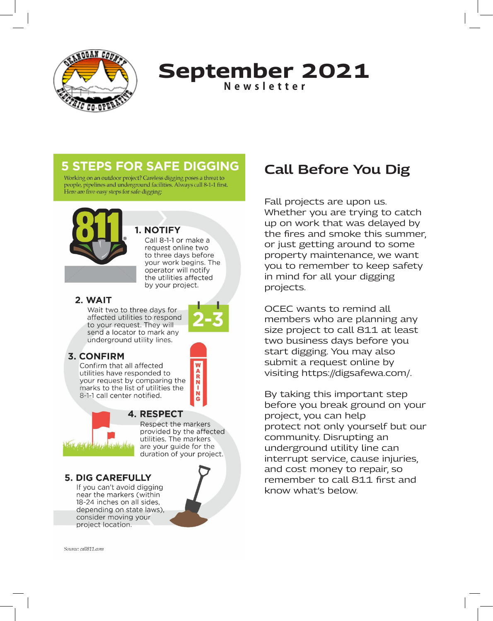

### **September 2021 Newsletter**

### **5 STEPS FOR SAFE DIGGING**

Working on an outdoor project? Careless digging poses a threat to people, pipelines and underground facilities. Always call 8-1-1 first. Here are five easy steps for safe digging:



### **1. NOTIFY**

Call 8-1-1 or make a request online two to three days before your work begins. The operator will notify the utilities affected by your project.

#### 2. WAIT

Wait two to three days for affected utilities to respond to your request. They will send a locator to mark any underground utility lines.

#### **3. CONFIRM**

Confirm that all affected utilities have responded to your request by comparing the marks to the list of utilities the 8-1-1 call center notified.



#### **4. RESPECT**

Respect the markers provided by the affected utilities. The markers are your guide for the duration of your project.

#### **5. DIG CAREFULLY**

If you can't avoid digging near the markers (within 18-24 inches on all sides, depending on state laws), consider moving your project location.



 $-2R$ 

# **Call Before You Dig**

Fall projects are upon us. Whether you are trying to catch up on work that was delayed by the fires and smoke this summer, or just getting around to some property maintenance, we want you to remember to keep safety in mind for all your digging projects.

OCEC wants to remind all members who are planning any size project to call 811 at least two business days before you start digging. You may also submit a request online by visiting https://digsafewa.com/.

By taking this important step before you break ground on your project, you can help protect not only yourself but our community. Disrupting an underground utility line can interrupt service, cause injuries, and cost money to repair, so remember to call 811 first and know what's below.

Source: call811.com